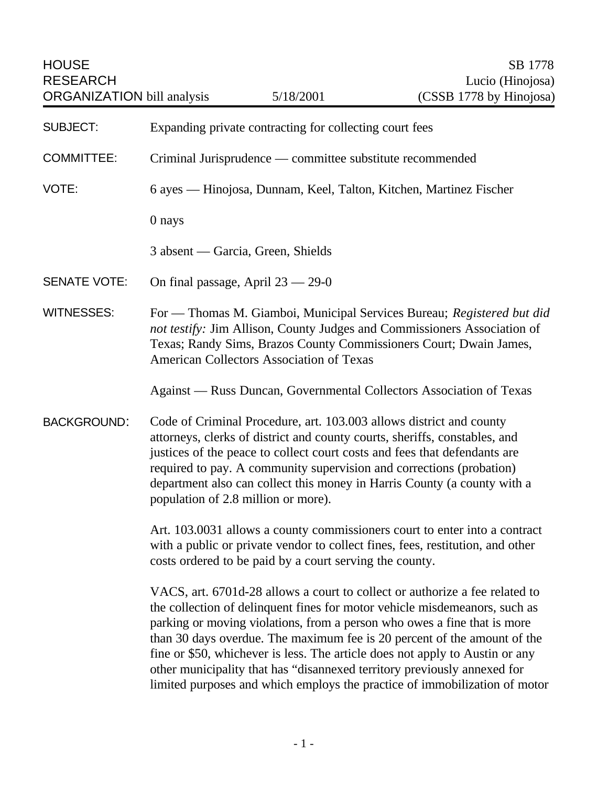| <b>HOUSE</b><br><b>RESEARCH</b><br><b>ORGANIZATION</b> bill analysis |                                                                                                                                                                                                                                                                                                                                                                                                                           | 5/18/2001                                                                | SB 1778<br>Lucio (Hinojosa)<br>(CSSB 1778 by Hinojosa)                                                                                                                                                                                                                                                                                                                                                                                                                          |
|----------------------------------------------------------------------|---------------------------------------------------------------------------------------------------------------------------------------------------------------------------------------------------------------------------------------------------------------------------------------------------------------------------------------------------------------------------------------------------------------------------|--------------------------------------------------------------------------|---------------------------------------------------------------------------------------------------------------------------------------------------------------------------------------------------------------------------------------------------------------------------------------------------------------------------------------------------------------------------------------------------------------------------------------------------------------------------------|
| <b>SUBJECT:</b>                                                      | Expanding private contracting for collecting court fees                                                                                                                                                                                                                                                                                                                                                                   |                                                                          |                                                                                                                                                                                                                                                                                                                                                                                                                                                                                 |
| <b>COMMITTEE:</b>                                                    | Criminal Jurisprudence — committee substitute recommended                                                                                                                                                                                                                                                                                                                                                                 |                                                                          |                                                                                                                                                                                                                                                                                                                                                                                                                                                                                 |
| VOTE:                                                                | 6 ayes — Hinojosa, Dunnam, Keel, Talton, Kitchen, Martinez Fischer                                                                                                                                                                                                                                                                                                                                                        |                                                                          |                                                                                                                                                                                                                                                                                                                                                                                                                                                                                 |
|                                                                      | 0 nays                                                                                                                                                                                                                                                                                                                                                                                                                    |                                                                          |                                                                                                                                                                                                                                                                                                                                                                                                                                                                                 |
|                                                                      |                                                                                                                                                                                                                                                                                                                                                                                                                           | 3 absent — Garcia, Green, Shields                                        |                                                                                                                                                                                                                                                                                                                                                                                                                                                                                 |
| <b>SENATE VOTE:</b>                                                  |                                                                                                                                                                                                                                                                                                                                                                                                                           | On final passage, April $23 - 29 - 0$                                    |                                                                                                                                                                                                                                                                                                                                                                                                                                                                                 |
| <b>WITNESSES:</b>                                                    | For - Thomas M. Giamboi, Municipal Services Bureau; Registered but did<br>not testify: Jim Allison, County Judges and Commissioners Association of<br>Texas; Randy Sims, Brazos County Commissioners Court; Dwain James,<br>American Collectors Association of Texas                                                                                                                                                      |                                                                          |                                                                                                                                                                                                                                                                                                                                                                                                                                                                                 |
|                                                                      |                                                                                                                                                                                                                                                                                                                                                                                                                           |                                                                          | Against — Russ Duncan, Governmental Collectors Association of Texas                                                                                                                                                                                                                                                                                                                                                                                                             |
| <b>BACKGROUND:</b>                                                   | Code of Criminal Procedure, art. 103.003 allows district and county<br>attorneys, clerks of district and county courts, sheriffs, constables, and<br>justices of the peace to collect court costs and fees that defendants are<br>required to pay. A community supervision and corrections (probation)<br>department also can collect this money in Harris County (a county with a<br>population of 2.8 million or more). |                                                                          |                                                                                                                                                                                                                                                                                                                                                                                                                                                                                 |
|                                                                      | Art. 103.0031 allows a county commissioners court to enter into a contract<br>with a public or private vendor to collect fines, fees, restitution, and other<br>costs ordered to be paid by a court serving the county.                                                                                                                                                                                                   |                                                                          |                                                                                                                                                                                                                                                                                                                                                                                                                                                                                 |
|                                                                      |                                                                                                                                                                                                                                                                                                                                                                                                                           | other municipality that has "disannexed territory previously annexed for | VACS, art. 6701d-28 allows a court to collect or authorize a fee related to<br>the collection of delinquent fines for motor vehicle misdemeanors, such as<br>parking or moving violations, from a person who owes a fine that is more<br>than 30 days overdue. The maximum fee is 20 percent of the amount of the<br>fine or \$50, whichever is less. The article does not apply to Austin or any<br>limited purposes and which employs the practice of immobilization of motor |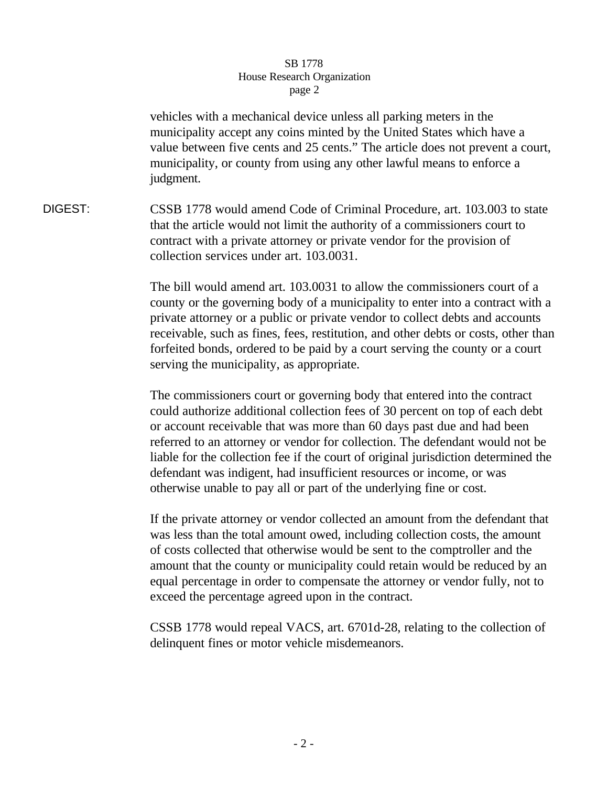## SB 1778 House Research Organization page 2

vehicles with a mechanical device unless all parking meters in the municipality accept any coins minted by the United States which have a value between five cents and 25 cents." The article does not prevent a court, municipality, or county from using any other lawful means to enforce a judgment.

DIGEST: CSSB 1778 would amend Code of Criminal Procedure, art. 103.003 to state that the article would not limit the authority of a commissioners court to contract with a private attorney or private vendor for the provision of collection services under art. 103.0031.

> The bill would amend art. 103.0031 to allow the commissioners court of a county or the governing body of a municipality to enter into a contract with a private attorney or a public or private vendor to collect debts and accounts receivable, such as fines, fees, restitution, and other debts or costs, other than forfeited bonds, ordered to be paid by a court serving the county or a court serving the municipality, as appropriate.

> The commissioners court or governing body that entered into the contract could authorize additional collection fees of 30 percent on top of each debt or account receivable that was more than 60 days past due and had been referred to an attorney or vendor for collection. The defendant would not be liable for the collection fee if the court of original jurisdiction determined the defendant was indigent, had insufficient resources or income, or was otherwise unable to pay all or part of the underlying fine or cost.

> If the private attorney or vendor collected an amount from the defendant that was less than the total amount owed, including collection costs, the amount of costs collected that otherwise would be sent to the comptroller and the amount that the county or municipality could retain would be reduced by an equal percentage in order to compensate the attorney or vendor fully, not to exceed the percentage agreed upon in the contract.

> CSSB 1778 would repeal VACS, art. 6701d-28, relating to the collection of delinquent fines or motor vehicle misdemeanors.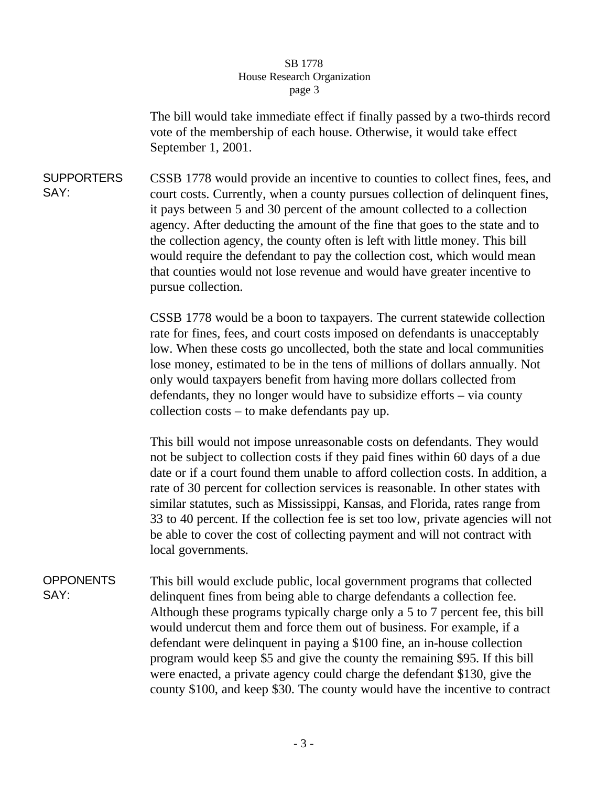## SB 1778 House Research Organization page 3

The bill would take immediate effect if finally passed by a two-thirds record vote of the membership of each house. Otherwise, it would take effect September 1, 2001.

SUPPORTERS SAY: CSSB 1778 would provide an incentive to counties to collect fines, fees, and court costs. Currently, when a county pursues collection of delinquent fines, it pays between 5 and 30 percent of the amount collected to a collection agency. After deducting the amount of the fine that goes to the state and to the collection agency, the county often is left with little money. This bill would require the defendant to pay the collection cost, which would mean that counties would not lose revenue and would have greater incentive to pursue collection.

> CSSB 1778 would be a boon to taxpayers. The current statewide collection rate for fines, fees, and court costs imposed on defendants is unacceptably low. When these costs go uncollected, both the state and local communities lose money, estimated to be in the tens of millions of dollars annually. Not only would taxpayers benefit from having more dollars collected from defendants, they no longer would have to subsidize efforts – via county collection costs – to make defendants pay up.

This bill would not impose unreasonable costs on defendants. They would not be subject to collection costs if they paid fines within 60 days of a due date or if a court found them unable to afford collection costs. In addition, a rate of 30 percent for collection services is reasonable. In other states with similar statutes, such as Mississippi, Kansas, and Florida, rates range from 33 to 40 percent. If the collection fee is set too low, private agencies will not be able to cover the cost of collecting payment and will not contract with local governments.

**OPPONENTS** SAY: This bill would exclude public, local government programs that collected delinquent fines from being able to charge defendants a collection fee. Although these programs typically charge only a 5 to 7 percent fee, this bill would undercut them and force them out of business. For example, if a defendant were delinquent in paying a \$100 fine, an in-house collection program would keep \$5 and give the county the remaining \$95. If this bill were enacted, a private agency could charge the defendant \$130, give the county \$100, and keep \$30. The county would have the incentive to contract